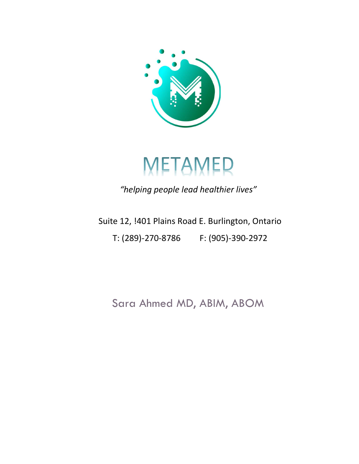



"helping people lead healthier lives"

Suite 12, !401 Plains Road E. Burlington, Ontario T: (289)-270-8786 F: (905)-390-2972

Sara Ahmed MD, ABIM, ABOM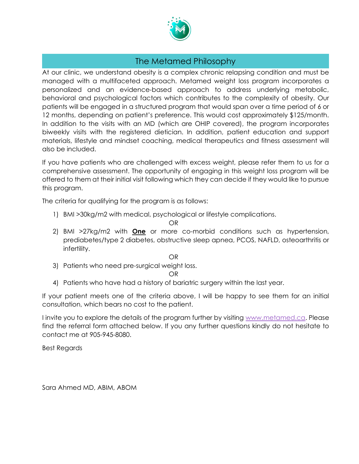

## The Metamed Philosophy

At our clinic, we understand obesity is a complex chronic relapsing condition and must be managed with a multifaceted approach. Metamed weight loss program incorporates a personalized and an evidence-based approach to address underlying metabolic, behavioral and psychological factors which contributes to the complexity of obesity. Our patients will be engaged in a structured program that would span over a time period of 6 or 12 months, depending on patient's preference. This would cost approximately \$125/month. In addition to the visits with an MD (which are OHIP covered), the program incorporates biweekly visits with the registered dietician. In addition, patient education and support materials, lifestyle and mindset coaching, medical therapeutics and fitness assessment will also be included.

If you have patients who are challenged with excess weight, please refer them to us for a comprehensive assessment. The opportunity of engaging in this weight loss program will be offered to them at their initial visit following which they can decide if they would like to pursue this program.

The criteria for qualifying for the program is as follows:

1) BMI >30kg/m2 with medical, psychological or lifestyle complications.

OR

2) BMI >27kg/m2 with **One** or more co-morbid conditions such as hypertension, prediabetes/type 2 diabetes, obstructive sleep apnea, PCOS, NAFLD, osteoarthritis or infertility.

OR

3) Patients who need pre-surgical weight loss.

## OR

4) Patients who have had a history of bariatric surgery within the last year.

If your patient meets one of the criteria above, I will be happy to see them for an initial consultation, which bears no cost to the patient.

I invite you to explore the details of the program further by visiting www.metamed.ca. Please find the referral form attached below. If you any further questions kindly do not hesitate to contact me at 905-945-8080.

Best Regards

Sara Ahmed MD, ABIM, ABOM